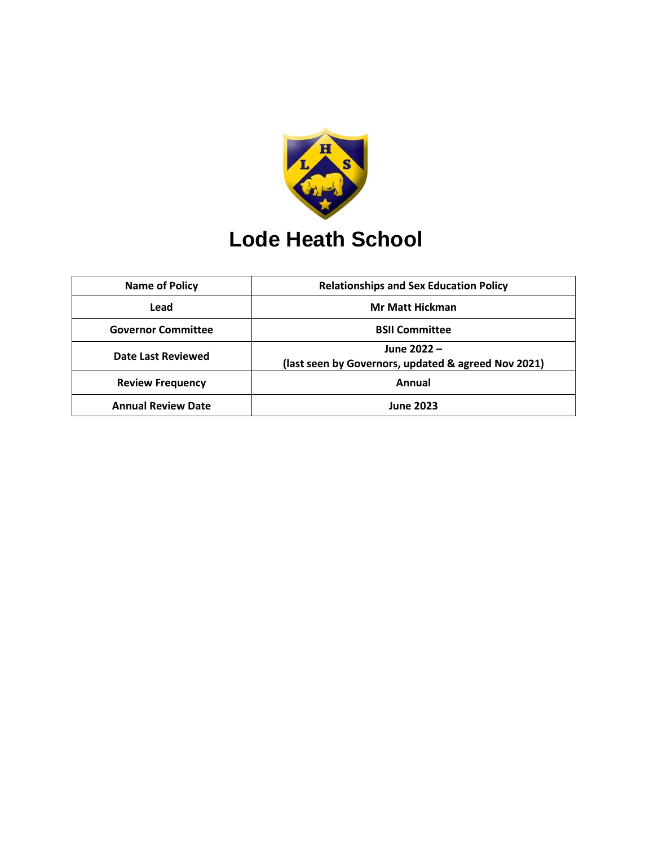

# **Lode Heath School**

| Name of Policy            | <b>Relationships and Sex Education Policy</b>                      |
|---------------------------|--------------------------------------------------------------------|
| Lead                      | <b>Mr Matt Hickman</b>                                             |
| <b>Governor Committee</b> | <b>BSII Committee</b>                                              |
| Date Last Reviewed        | June 2022 -<br>(last seen by Governors, updated & agreed Nov 2021) |
| <b>Review Frequency</b>   | Annual                                                             |
| <b>Annual Review Date</b> | <b>June 2023</b>                                                   |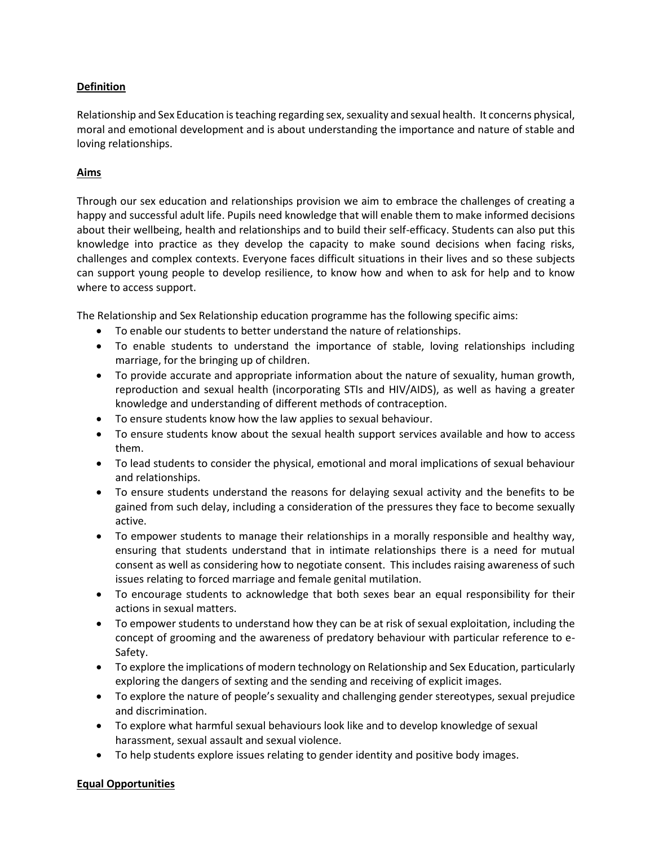## **Definition**

Relationship and Sex Education is teaching regarding sex, sexuality and sexual health. It concerns physical, moral and emotional development and is about understanding the importance and nature of stable and loving relationships.

## **Aims**

Through our sex education and relationships provision we aim to embrace the challenges of creating a happy and successful adult life. Pupils need knowledge that will enable them to make informed decisions about their wellbeing, health and relationships and to build their self-efficacy. Students can also put this knowledge into practice as they develop the capacity to make sound decisions when facing risks, challenges and complex contexts. Everyone faces difficult situations in their lives and so these subjects can support young people to develop resilience, to know how and when to ask for help and to know where to access support.

The Relationship and Sex Relationship education programme has the following specific aims:

- To enable our students to better understand the nature of relationships.
- To enable students to understand the importance of stable, loving relationships including marriage, for the bringing up of children.
- To provide accurate and appropriate information about the nature of sexuality, human growth, reproduction and sexual health (incorporating STIs and HIV/AIDS), as well as having a greater knowledge and understanding of different methods of contraception.
- To ensure students know how the law applies to sexual behaviour.
- To ensure students know about the sexual health support services available and how to access them.
- To lead students to consider the physical, emotional and moral implications of sexual behaviour and relationships.
- To ensure students understand the reasons for delaying sexual activity and the benefits to be gained from such delay, including a consideration of the pressures they face to become sexually active.
- To empower students to manage their relationships in a morally responsible and healthy way, ensuring that students understand that in intimate relationships there is a need for mutual consent as well as considering how to negotiate consent. This includes raising awareness of such issues relating to forced marriage and female genital mutilation.
- To encourage students to acknowledge that both sexes bear an equal responsibility for their actions in sexual matters.
- To empower students to understand how they can be at risk of sexual exploitation, including the concept of grooming and the awareness of predatory behaviour with particular reference to e-Safety.
- To explore the implications of modern technology on Relationship and Sex Education, particularly exploring the dangers of sexting and the sending and receiving of explicit images.
- To explore the nature of people's sexuality and challenging gender stereotypes, sexual prejudice and discrimination.
- To explore what harmful sexual behaviours look like and to develop knowledge of sexual harassment, sexual assault and sexual violence.
- To help students explore issues relating to gender identity and positive body images.

## **Equal Opportunities**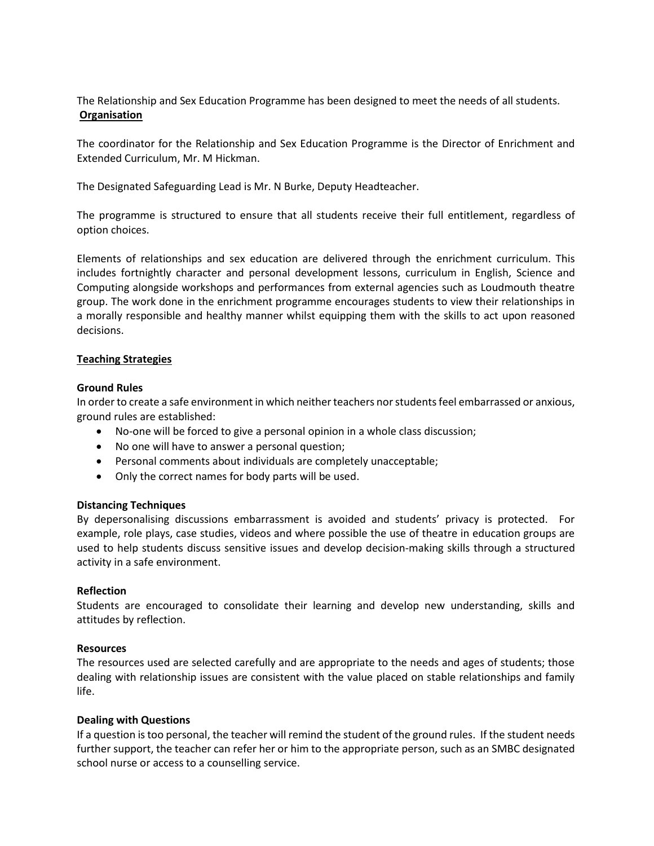The Relationship and Sex Education Programme has been designed to meet the needs of all students. **Organisation** 

The coordinator for the Relationship and Sex Education Programme is the Director of Enrichment and Extended Curriculum, Mr. M Hickman.

The Designated Safeguarding Lead is Mr. N Burke, Deputy Headteacher.

The programme is structured to ensure that all students receive their full entitlement, regardless of option choices.

Elements of relationships and sex education are delivered through the enrichment curriculum. This includes fortnightly character and personal development lessons, curriculum in English, Science and Computing alongside workshops and performances from external agencies such as Loudmouth theatre group. The work done in the enrichment programme encourages students to view their relationships in a morally responsible and healthy manner whilst equipping them with the skills to act upon reasoned decisions.

## **Teaching Strategies**

## **Ground Rules**

In order to create a safe environment in which neither teachers nor students feel embarrassed or anxious, ground rules are established:

- No-one will be forced to give a personal opinion in a whole class discussion;
- No one will have to answer a personal question;
- Personal comments about individuals are completely unacceptable;
- Only the correct names for body parts will be used.

## **Distancing Techniques**

By depersonalising discussions embarrassment is avoided and students' privacy is protected. For example, role plays, case studies, videos and where possible the use of theatre in education groups are used to help students discuss sensitive issues and develop decision-making skills through a structured activity in a safe environment.

## **Reflection**

Students are encouraged to consolidate their learning and develop new understanding, skills and attitudes by reflection.

## **Resources**

The resources used are selected carefully and are appropriate to the needs and ages of students; those dealing with relationship issues are consistent with the value placed on stable relationships and family life.

## **Dealing with Questions**

If a question is too personal, the teacher will remind the student of the ground rules. If the student needs further support, the teacher can refer her or him to the appropriate person, such as an SMBC designated school nurse or access to a counselling service.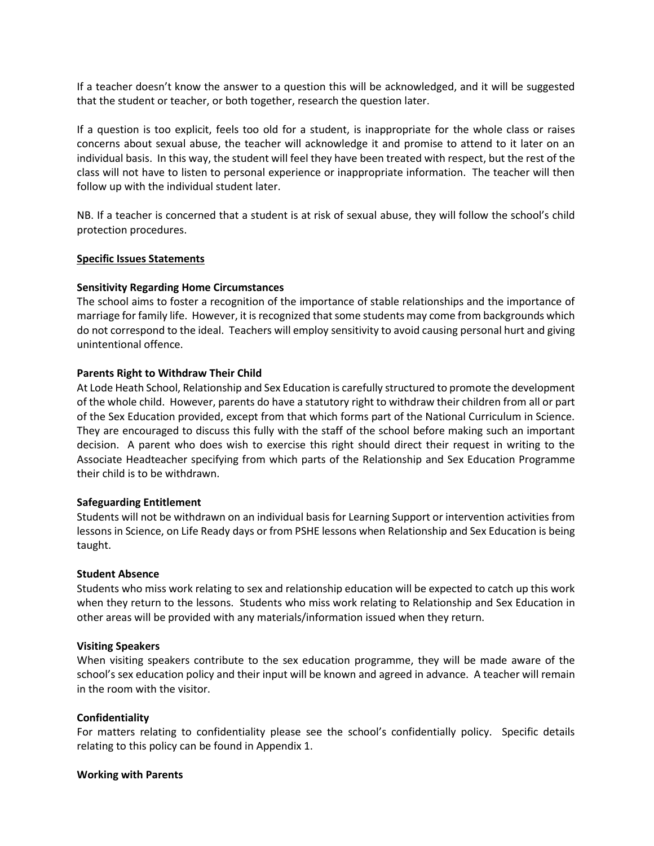If a teacher doesn't know the answer to a question this will be acknowledged, and it will be suggested that the student or teacher, or both together, research the question later.

If a question is too explicit, feels too old for a student, is inappropriate for the whole class or raises concerns about sexual abuse, the teacher will acknowledge it and promise to attend to it later on an individual basis. In this way, the student will feel they have been treated with respect, but the rest of the class will not have to listen to personal experience or inappropriate information. The teacher will then follow up with the individual student later.

NB. If a teacher is concerned that a student is at risk of sexual abuse, they will follow the school's child protection procedures.

#### **Specific Issues Statements**

#### **Sensitivity Regarding Home Circumstances**

The school aims to foster a recognition of the importance of stable relationships and the importance of marriage for family life. However, it is recognized that some students may come from backgrounds which do not correspond to the ideal. Teachers will employ sensitivity to avoid causing personal hurt and giving unintentional offence.

#### **Parents Right to Withdraw Their Child**

At Lode Heath School, Relationship and Sex Education is carefully structured to promote the development of the whole child. However, parents do have a statutory right to withdraw their children from all or part of the Sex Education provided, except from that which forms part of the National Curriculum in Science. They are encouraged to discuss this fully with the staff of the school before making such an important decision. A parent who does wish to exercise this right should direct their request in writing to the Associate Headteacher specifying from which parts of the Relationship and Sex Education Programme their child is to be withdrawn.

#### **Safeguarding Entitlement**

Students will not be withdrawn on an individual basis for Learning Support or intervention activities from lessons in Science, on Life Ready days or from PSHE lessons when Relationship and Sex Education is being taught.

#### **Student Absence**

Students who miss work relating to sex and relationship education will be expected to catch up this work when they return to the lessons. Students who miss work relating to Relationship and Sex Education in other areas will be provided with any materials/information issued when they return.

#### **Visiting Speakers**

When visiting speakers contribute to the sex education programme, they will be made aware of the school's sex education policy and their input will be known and agreed in advance. A teacher will remain in the room with the visitor.

#### **Confidentiality**

For matters relating to confidentiality please see the school's confidentially policy. Specific details relating to this policy can be found in Appendix 1.

#### **Working with Parents**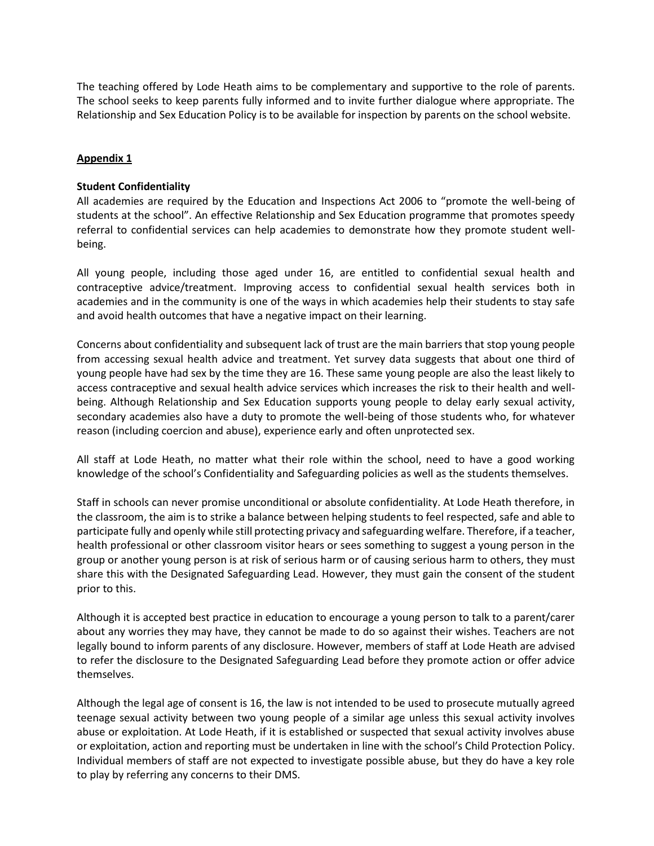The teaching offered by Lode Heath aims to be complementary and supportive to the role of parents. The school seeks to keep parents fully informed and to invite further dialogue where appropriate. The Relationship and Sex Education Policy is to be available for inspection by parents on the school website.

## **Appendix 1**

## **Student Confidentiality**

All academies are required by the Education and Inspections Act 2006 to "promote the well-being of students at the school". An effective Relationship and Sex Education programme that promotes speedy referral to confidential services can help academies to demonstrate how they promote student wellbeing.

All young people, including those aged under 16, are entitled to confidential sexual health and contraceptive advice/treatment. Improving access to confidential sexual health services both in academies and in the community is one of the ways in which academies help their students to stay safe and avoid health outcomes that have a negative impact on their learning.

Concerns about confidentiality and subsequent lack of trust are the main barriers that stop young people from accessing sexual health advice and treatment. Yet survey data suggests that about one third of young people have had sex by the time they are 16. These same young people are also the least likely to access contraceptive and sexual health advice services which increases the risk to their health and wellbeing. Although Relationship and Sex Education supports young people to delay early sexual activity, secondary academies also have a duty to promote the well-being of those students who, for whatever reason (including coercion and abuse), experience early and often unprotected sex.

All staff at Lode Heath, no matter what their role within the school, need to have a good working knowledge of the school's Confidentiality and Safeguarding policies as well as the students themselves.

Staff in schools can never promise unconditional or absolute confidentiality. At Lode Heath therefore, in the classroom, the aim is to strike a balance between helping students to feel respected, safe and able to participate fully and openly while still protecting privacy and safeguarding welfare. Therefore, if a teacher, health professional or other classroom visitor hears or sees something to suggest a young person in the group or another young person is at risk of serious harm or of causing serious harm to others, they must share this with the Designated Safeguarding Lead. However, they must gain the consent of the student prior to this.

Although it is accepted best practice in education to encourage a young person to talk to a parent/carer about any worries they may have, they cannot be made to do so against their wishes. Teachers are not legally bound to inform parents of any disclosure. However, members of staff at Lode Heath are advised to refer the disclosure to the Designated Safeguarding Lead before they promote action or offer advice themselves.

Although the legal age of consent is 16, the law is not intended to be used to prosecute mutually agreed teenage sexual activity between two young people of a similar age unless this sexual activity involves abuse or exploitation. At Lode Heath, if it is established or suspected that sexual activity involves abuse or exploitation, action and reporting must be undertaken in line with the school's Child Protection Policy. Individual members of staff are not expected to investigate possible abuse, but they do have a key role to play by referring any concerns to their DMS.